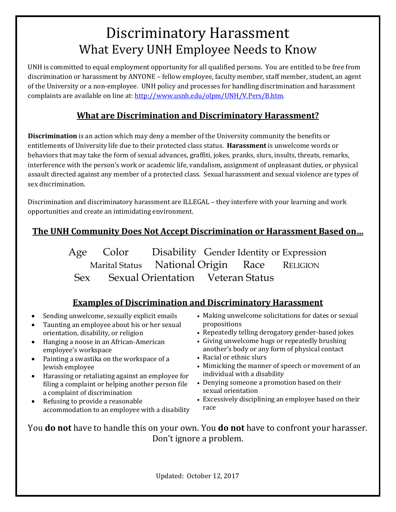# Discriminatory Harassment What Every UNH Employee Needs to Know

UNH is committed to equal employment opportunity for all qualified persons. You are entitled to be free from discrimination or harassment by ANYONE – fellow employee, faculty member, staff member, student, an agent of the University or a non-employee. UNH policy and processes for handling discrimination and harassment complaints are available on line at: [http://www.usnh.edu/olpm/UNH/V.Pers/B.htm.](http://www.usnh.edu/olpm/UNH/V.Pers/B.htm)

## **What are Discrimination and Discriminatory Harassment?**

**Discrimination** is an action which may deny a member of the University community the benefits or entitlements of University life due to their protected class status. **Harassment** is unwelcome words or behaviors that may take the form of sexual advances, graffiti, jokes, pranks, slurs, insults, threats, remarks, interference with the person's work or academic life, vandalism, assignment of unpleasant duties, or physical assault directed against any member of a protected class. Sexual harassment and sexual violence are types of sex discrimination.

Discrimination and discriminatory harassment are ILLEGAL – they interfere with your learning and work opportunities and create an intimidating environment.

# **The UNH Community Does Not Accept Discrimination or Harassment Based on…**

Age Color Disability Gender Identity or Expression<br>Marital Status National Origin Race RELIGION National Origin Sex Sexual Orientation Veteran Status

## **Examples of Discrimination and Discriminatory Harassment**

- Sending unwelcome, sexually explicit emails
- Taunting an employee about his or her sexual orientation, disability, or religion
- Hanging a noose in an African-American employee's workspace
- Painting a swastika on the workspace of a Jewish employee
- Harassing or retaliating against an employee for filing a complaint or helping another person file a complaint of discrimination
- Refusing to provide a reasonable accommodation to an employee with a disability
- Making unwelcome solicitations for dates or sexual propositions
- Repeatedly telling derogatory gender-based jokes
- Giving unwelcome hugs or repeatedly brushing another's body or any form of physical contact
- Racial or ethnic slurs
- Mimicking the manner of speech or movement of an individual with a disability
- Denying someone a promotion based on their sexual orientation
- Excessively disciplining an employee based on their race

You **do not** have to handle this on your own. You **do not** have to confront your harasser. Don't ignore a problem.

Updated: October 12, 2017